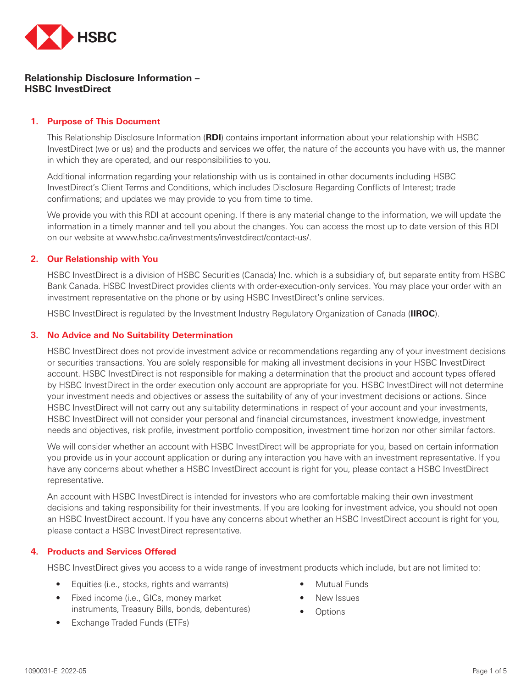

# **Relationship Disclosure Information – HSBC InvestDirect**

### **1. Purpose of This Document**

This Relationship Disclosure Information (**RDI**) contains important information about your relationship with HSBC InvestDirect (we or us) and the products and services we offer, the nature of the accounts you have with us, the manner in which they are operated, and our responsibilities to you.

Additional information regarding your relationship with us is contained in other documents including HSBC InvestDirect's Client Terms and Conditions, which includes Disclosure Regarding Conflicts of Interest; trade confirmations; and updates we may provide to you from time to time.

We provide you with this RDI at account opening. If there is any material change to the information, we will update the information in a timely manner and tell you about the changes. You can access the most up to date version of this RDI on our website at www.hsbc.ca/investments/investdirect/contact-us/.

#### **2. Our Relationship with You**

HSBC InvestDirect is a division of HSBC Securities (Canada) Inc. which is a subsidiary of, but separate entity from HSBC Bank Canada. HSBC InvestDirect provides clients with order-execution-only services. You may place your order with an investment representative on the phone or by using HSBC InvestDirect's online services.

HSBC InvestDirect is regulated by the Investment Industry Regulatory Organization of Canada (**IIROC**).

#### **3. No Advice and No Suitability Determination**

HSBC InvestDirect does not provide investment advice or recommendations regarding any of your investment decisions or securities transactions. You are solely responsible for making all investment decisions in your HSBC InvestDirect account. HSBC InvestDirect is not responsible for making a determination that the product and account types offered by HSBC InvestDirect in the order execution only account are appropriate for you. HSBC InvestDirect will not determine your investment needs and objectives or assess the suitability of any of your investment decisions or actions. Since HSBC InvestDirect will not carry out any suitability determinations in respect of your account and your investments, HSBC InvestDirect will not consider your personal and financial circumstances, investment knowledge, investment needs and objectives, risk profile, investment portfolio composition, investment time horizon nor other similar factors.

We will consider whether an account with HSBC InvestDirect will be appropriate for you, based on certain information you provide us in your account application or during any interaction you have with an investment representative. If you have any concerns about whether a HSBC InvestDirect account is right for you, please contact a HSBC InvestDirect representative.

An account with HSBC InvestDirect is intended for investors who are comfortable making their own investment decisions and taking responsibility for their investments. If you are looking for investment advice, you should not open an HSBC InvestDirect account. If you have any concerns about whether an HSBC InvestDirect account is right for you, please contact a HSBC InvestDirect representative.

#### **4. Products and Services Offered**

HSBC InvestDirect gives you access to a wide range of investment products which include, but are not limited to:

- Equities (i.e., stocks, rights and warrants)
- Fixed income (i.e., GICs, money market instruments, Treasury Bills, bonds, debentures)
- Exchange Traded Funds (ETFs)
- **Mutual Funds**
- New Issues
- Options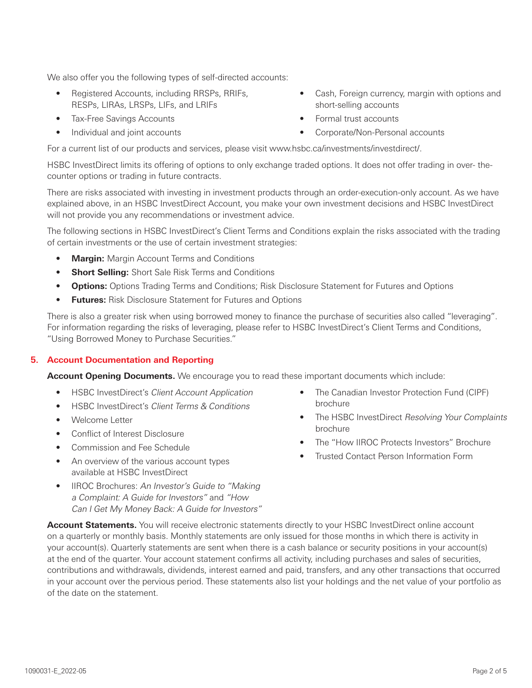We also offer you the following types of self-directed accounts:

- Registered Accounts, including RRSPs, RRIFs, RESPs, LIRAs, LRSPs, LIFs, and LRIFs
- Tax-Free Savings Accounts
- Individual and joint accounts
- For a current list of our products and services, please visit www.hsbc.ca/investments/investdirect/.

HSBC InvestDirect limits its offering of options to only exchange traded options. It does not offer trading in over- thecounter options or trading in future contracts.

There are risks associated with investing in investment products through an order-execution-only account. As we have explained above, in an HSBC InvestDirect Account, you make your own investment decisions and HSBC InvestDirect will not provide you any recommendations or investment advice.

The following sections in HSBC InvestDirect's Client Terms and Conditions explain the risks associated with the trading of certain investments or the use of certain investment strategies:

- **Margin:** Margin Account Terms and Conditions
- **Short Selling:** Short Sale Risk Terms and Conditions
- **Options:** Options Trading Terms and Conditions; Risk Disclosure Statement for Futures and Options
- **Futures:** Risk Disclosure Statement for Futures and Options

There is also a greater risk when using borrowed money to finance the purchase of securities also called "leveraging". For information regarding the risks of leveraging, please refer to HSBC InvestDirect's Client Terms and Conditions, "Using Borrowed Money to Purchase Securities."

## **5. Account Documentation and Reporting**

**Account Opening Documents.** We encourage you to read these important documents which include:

- HSBC InvestDirect's Client Account Application
- HSBC InvestDirect's Client Terms & Conditions
- Welcome Letter
- Conflict of Interest Disclosure
- Commission and Fee Schedule
- An overview of the various account types available at HSBC InvestDirect
- IIROC Brochures: An Investor's Guide to "Making" a Complaint: A Guide for Investors" and "How Can I Get My Money Back: A Guide for Investors"

• The Canadian Investor Protection Fund (CIPF) brochure

• Cash, Foreign currency, margin with options and

short-selling accounts • Formal trust accounts

• Corporate/Non-Personal accounts

- The HSBC InvestDirect Resolving Your Complaints brochure
- The "How IIROC Protects Investors" Brochure
- Trusted Contact Person Information Form

**Account Statements.** You will receive electronic statements directly to your HSBC InvestDirect online account on a quarterly or monthly basis. Monthly statements are only issued for those months in which there is activity in your account(s). Quarterly statements are sent when there is a cash balance or security positions in your account(s) at the end of the quarter. Your account statement confirms all activity, including purchases and sales of securities, contributions and withdrawals, dividends, interest earned and paid, transfers, and any other transactions that occurred in your account over the pervious period. These statements also list your holdings and the net value of your portfolio as of the date on the statement.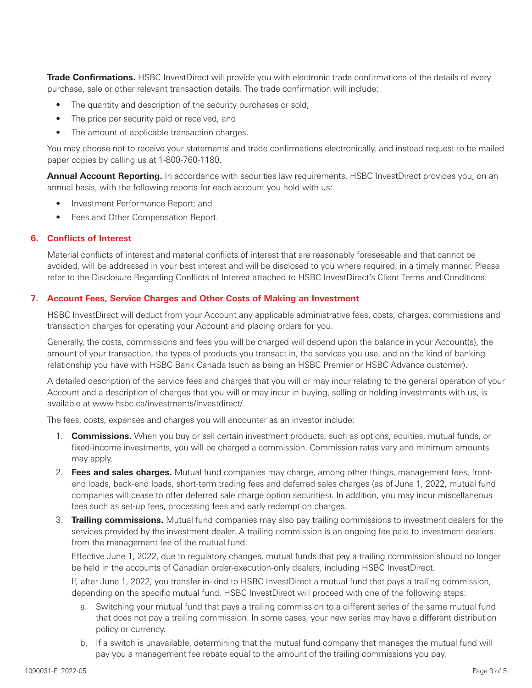**Trade Confirmations.** HSBC InvestDirect will provide you with electronic trade confirmations of the details of every purchase, sale or other relevant transaction details. The trade confirmation will include:

- The quantity and description of the security purchases or sold;
- The price per security paid or received, and
- The amount of applicable transaction charges.

You may choose not to receive your statements and trade confirmations electronically, and instead request to be mailed paper copies by calling us at 1-800-760-1180.

**Annual Account Reporting.** In accordance with securities law requirements, HSBC InvestDirect provides you, on an annual basis, with the following reports for each account you hold with us:

- Investment Performance Report; and
- Fees and Other Compensation Report.

#### **6. Conflicts of Interest**

Material conflicts of interest and material conflicts of interest that are reasonably foreseeable and that cannot be avoided, will be addressed in your best interest and will be disclosed to you where required, in a timely manner. Please refer to the Disclosure Regarding Conflicts of Interest attached to HSBC InvestDirect's Client Terms and Conditions.

#### **7. Account Fees, Service Charges and Other Costs of Making an Investment**

HSBC InvestDirect will deduct from your Account any applicable administrative fees, costs, charges, commissions and transaction charges for operating your Account and placing orders for you.

Generally, the costs, commissions and fees you will be charged will depend upon the balance in your Account(s), the amount of your transaction, the types of products you transact in, the services you use, and on the kind of banking relationship you have with HSBC Bank Canada (such as being an HSBC Premier or HSBC Advance customer).

A detailed description of the service fees and charges that you will or may incur relating to the general operation of your Account and a description of charges that you will or may incur in buying, selling or holding investments with us, is available at www.hsbc.ca/investments/investdirect/.

The fees, costs, expenses and charges you will encounter as an investor include:

- 1. **Commissions.** When you buy or sell certain investment products, such as options, equities, mutual funds, or fixed-income investments, you will be charged a commission. Commission rates vary and minimum amounts may apply.
- 2. **Fees and sales charges.** Mutual fund companies may charge, among other things, management fees, frontend loads, back-end loads, short-term trading fees and deferred sales charges (as of June 1, 2022, mutual fund companies will cease to offer deferred sale charge option securities). In addition, you may incur miscellaneous fees such as set-up fees, processing fees and early redemption charges.
- 3. **Trailing commissions.** Mutual fund companies may also pay trailing commissions to investment dealers for the services provided by the investment dealer. A trailing commission is an ongoing fee paid to investment dealers from the management fee of the mutual fund.

Effective June 1, 2022, due to regulatory changes, mutual funds that pay a trailing commission should no longer be held in the accounts of Canadian order-execution-only dealers, including HSBC InvestDirect.

If, after June 1, 2022, you transfer in-kind to HSBC InvestDirect a mutual fund that pays a trailing commission, depending on the specific mutual fund, HSBC InvestDirect will proceed with one of the following steps:

- a. Switching your mutual fund that pays a trailing commission to a different series of the same mutual fund that does not pay a trailing commission. In some cases, your new series may have a different distribution policy or currency.
- b. If a switch is unavailable, determining that the mutual fund company that manages the mutual fund will pay you a management fee rebate equal to the amount of the trailing commissions you pay.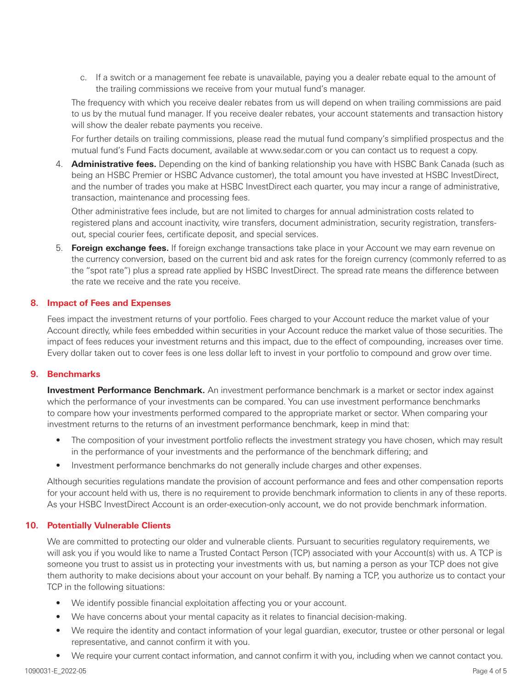c. If a switch or a management fee rebate is unavailable, paying you a dealer rebate equal to the amount of the trailing commissions we receive from your mutual fund's manager.

The frequency with which you receive dealer rebates from us will depend on when trailing commissions are paid to us by the mutual fund manager. If you receive dealer rebates, your account statements and transaction history will show the dealer rebate payments you receive.

For further details on trailing commissions, please read the mutual fund company's simplified prospectus and the mutual fund's Fund Facts document, available at www.sedar.com or you can contact us to request a copy.

4. **Administrative fees.** Depending on the kind of banking relationship you have with HSBC Bank Canada (such as being an HSBC Premier or HSBC Advance customer), the total amount you have invested at HSBC InvestDirect, and the number of trades you make at HSBC InvestDirect each quarter, you may incur a range of administrative, transaction, maintenance and processing fees.

Other administrative fees include, but are not limited to charges for annual administration costs related to registered plans and account inactivity, wire transfers, document administration, security registration, transfersout, special courier fees, certificate deposit, and special services.

5. **Foreign exchange fees.** If foreign exchange transactions take place in your Account we may earn revenue on the currency conversion, based on the current bid and ask rates for the foreign currency (commonly referred to as the "spot rate") plus a spread rate applied by HSBC InvestDirect. The spread rate means the difference between the rate we receive and the rate you receive.

# **8. Impact of Fees and Expenses**

Fees impact the investment returns of your portfolio. Fees charged to your Account reduce the market value of your Account directly, while fees embedded within securities in your Account reduce the market value of those securities. The impact of fees reduces your investment returns and this impact, due to the effect of compounding, increases over time. Every dollar taken out to cover fees is one less dollar left to invest in your portfolio to compound and grow over time.

## **9. Benchmarks**

**Investment Performance Benchmark.** An investment performance benchmark is a market or sector index against which the performance of your investments can be compared. You can use investment performance benchmarks to compare how your investments performed compared to the appropriate market or sector. When comparing your investment returns to the returns of an investment performance benchmark, keep in mind that:

- The composition of your investment portfolio reflects the investment strategy you have chosen, which may result in the performance of your investments and the performance of the benchmark differing; and
- Investment performance benchmarks do not generally include charges and other expenses.

Although securities regulations mandate the provision of account performance and fees and other compensation reports for your account held with us, there is no requirement to provide benchmark information to clients in any of these reports. As your HSBC InvestDirect Account is an order-execution-only account, we do not provide benchmark information.

# **10. Potentially Vulnerable Clients**

We are committed to protecting our older and vulnerable clients. Pursuant to securities regulatory requirements, we will ask you if you would like to name a Trusted Contact Person (TCP) associated with your Account(s) with us. A TCP is someone you trust to assist us in protecting your investments with us, but naming a person as your TCP does not give them authority to make decisions about your account on your behalf. By naming a TCP, you authorize us to contact your TCP in the following situations:

- We identify possible financial exploitation affecting you or your account.
- We have concerns about your mental capacity as it relates to financial decision-making.
- We require the identity and contact information of your legal guardian, executor, trustee or other personal or legal representative, and cannot confirm it with you.
- We require your current contact information, and cannot confirm it with you, including when we cannot contact you.